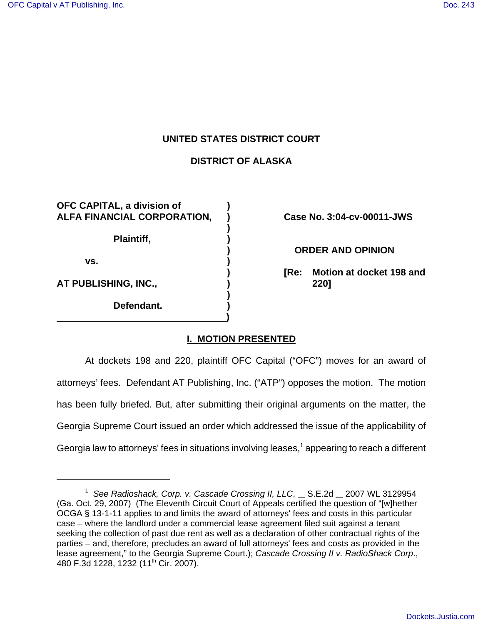### **UNITED STATES DISTRICT COURT**

# **DISTRICT OF ALASKA**

**)**

**)**

**OFC CAPITAL, a division of ) ALFA FINANCIAL CORPORATION, ) Case No. 3:04-cv-00011-JWS Plaintiff, ) vs. ) AT PUBLISHING, INC., ) 220]**

**Defendant. ) )**

**) ORDER AND OPINION**

**) [Re: Motion at docket 198 and**

# **I. MOTION PRESENTED**

At dockets 198 and 220, plaintiff OFC Capital ("OFC") moves for an award of attorneys' fees. Defendant AT Publishing, Inc. ("ATP") opposes the motion. The motion has been fully briefed. But, after submitting their original arguments on the matter, the Georgia Supreme Court issued an order which addressed the issue of the applicability of Georgia law to attorneys' fees in situations involving leases, $^1$  appearing to reach a different

<sup>&</sup>lt;sup>1</sup> See Radioshack, Corp. v. Cascade Crossing II, LLC, \_\_ S.E.2d \_\_ 2007 WL 3129954 (Ga. Oct. 29, 2007) (The Eleventh Circuit Court of Appeals certified the question of "[w]hether OCGA § 13-1-11 applies to and limits the award of attorneys' fees and costs in this particular case – where the landlord under a commercial lease agreement filed suit against a tenant seeking the collection of past due rent as well as a declaration of other contractual rights of the parties – and, therefore, precludes an award of full attorneys' fees and costs as provided in the lease agreement," to the Georgia Supreme Court.); *Cascade Crossing II v. RadioShack Corp*., 480 F.3d 1228, 1232 (11<sup>th</sup> Cir. 2007).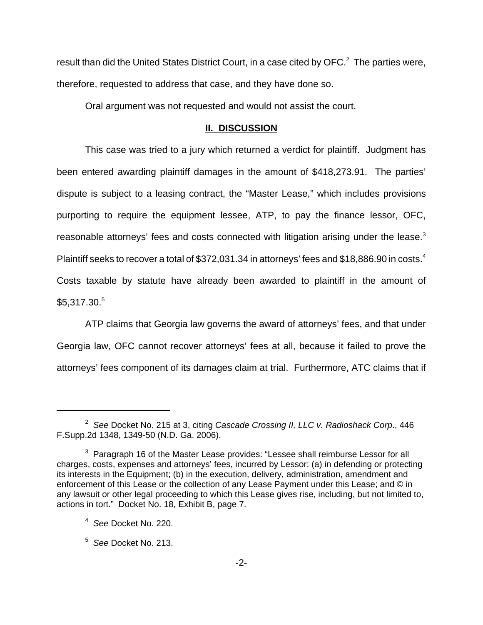result than did the United States District Court, in a case cited by OFC. $^2$  The parties were, therefore, requested to address that case, and they have done so.

Oral argument was not requested and would not assist the court.

#### **II. DISCUSSION**

This case was tried to a jury which returned a verdict for plaintiff. Judgment has been entered awarding plaintiff damages in the amount of \$418,273.91. The parties' dispute is subject to a leasing contract, the "Master Lease," which includes provisions purporting to require the equipment lessee, ATP, to pay the finance lessor, OFC, reasonable attorneys' fees and costs connected with litigation arising under the lease.<sup>3</sup> Plaintiff seeks to recover a total of \$372,031.34 in attorneys' fees and \$18,886.90 in costs.<sup>4</sup> Costs taxable by statute have already been awarded to plaintiff in the amount of  $$5.317.30<sup>5</sup>$ 

ATP claims that Georgia law governs the award of attorneys' fees, and that under Georgia law, OFC cannot recover attorneys' fees at all, because it failed to prove the attorneys' fees component of its damages claim at trial. Furthermore, ATC claims that if

<sup>2</sup>  *See* Docket No. 215 at 3, citing *Cascade Crossing II, LLC v. Radioshack Corp*., 446 F.Supp.2d 1348, 1349-50 (N.D. Ga. 2006).

 $3$  Paragraph 16 of the Master Lease provides: "Lessee shall reimburse Lessor for all charges, costs, expenses and attorneys' fees, incurred by Lessor: (a) in defending or protecting its interests in the Equipment; (b) in the execution, delivery, administration, amendment and enforcement of this Lease or the collection of any Lease Payment under this Lease; and © in any lawsuit or other legal proceeding to which this Lease gives rise, including, but not limited to, actions in tort." Docket No. 18, Exhibit B, page 7.

<sup>4</sup> *See* Docket No. 220.

<sup>5</sup> *See* Docket No. 213.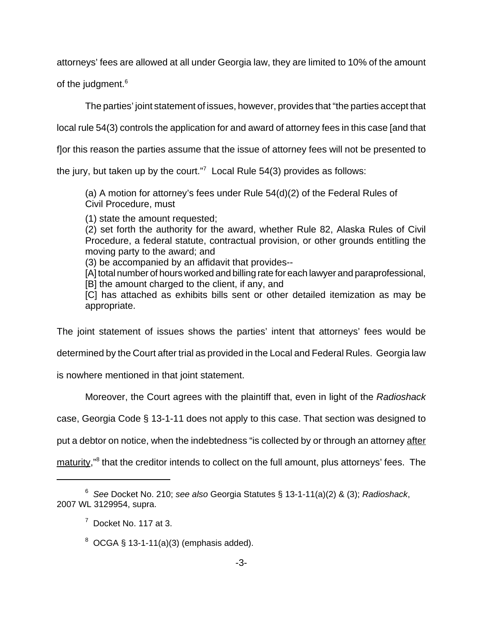attorneys' fees are allowed at all under Georgia law, they are limited to 10% of the amount

of the judgment.<sup>6</sup>

The parties' joint statement of issues, however, provides that "the parties accept that

local rule 54(3) controls the application for and award of attorney fees in this case [and that

f]or this reason the parties assume that the issue of attorney fees will not be presented to

the jury, but taken up by the court."<sup>7</sup> Local Rule 54(3) provides as follows:

(a) A motion for attorney's fees under Rule 54(d)(2) of the Federal Rules of Civil Procedure, must

(1) state the amount requested;

(2) set forth the authority for the award, whether Rule 82, Alaska Rules of Civil Procedure, a federal statute, contractual provision, or other grounds entitling the moving party to the award; and

(3) be accompanied by an affidavit that provides--

[A] total number of hours worked and billing rate for each lawyer and paraprofessional, [B] the amount charged to the client, if any, and

[C] has attached as exhibits bills sent or other detailed itemization as may be appropriate.

The joint statement of issues shows the parties' intent that attorneys' fees would be

determined by the Court after trial as provided in the Local and Federal Rules. Georgia law

is nowhere mentioned in that joint statement.

Moreover, the Court agrees with the plaintiff that, even in light of the *Radioshack*

case, Georgia Code § 13-1-11 does not apply to this case. That section was designed to

put a debtor on notice, when the indebtedness "is collected by or through an attorney after

maturity,"<sup>8</sup> that the creditor intends to collect on the full amount, plus attorneys' fees. The

<sup>6</sup> *See* Docket No. 210; *see also* Georgia Statutes § 13-1-11(a)(2) & (3); *Radioshack*, 2007 WL 3129954, supra.

 $7$  Docket No. 117 at 3.

 $8$  OCGA § 13-1-11(a)(3) (emphasis added).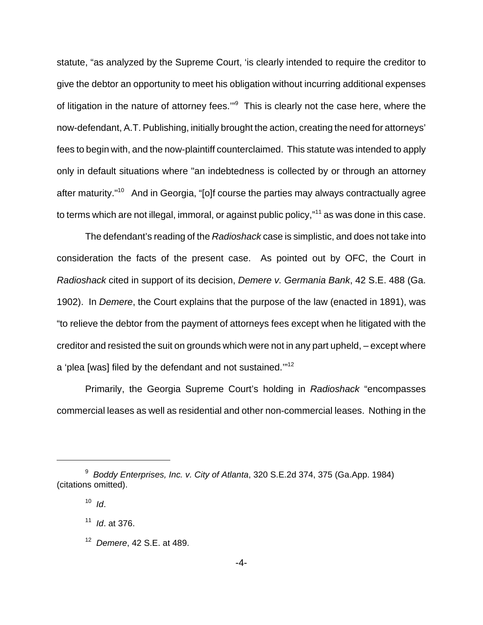statute, "as analyzed by the Supreme Court, 'is clearly intended to require the creditor to give the debtor an opportunity to meet his obligation without incurring additional expenses of litigation in the nature of attorney fees."<sup>9</sup> This is clearly not the case here, where the now-defendant, A.T. Publishing, initially brought the action, creating the need for attorneys' fees to begin with, and the now-plaintiff counterclaimed. This statute was intended to apply only in default situations where "an indebtedness is collected by or through an attorney after maturity."10 And in Georgia, "[o]f course the parties may always contractually agree to terms which are not illegal, immoral, or against public policy,"<sup>11</sup> as was done in this case.

The defendant's reading of the *Radioshack* case is simplistic, and does not take into consideration the facts of the present case. As pointed out by OFC, the Court in *Radioshack* cited in support of its decision, *Demere v. Germania Bank*, 42 S.E. 488 (Ga. 1902). In *Demere*, the Court explains that the purpose of the law (enacted in 1891), was "to relieve the debtor from the payment of attorneys fees except when he litigated with the creditor and resisted the suit on grounds which were not in any part upheld, – except where a 'plea [was] filed by the defendant and not sustained.'"12

Primarily, the Georgia Supreme Court's holding in *Radioshack* "encompasses commercial leases as well as residential and other non-commercial leases. Nothing in the

<sup>9</sup> *Boddy Enterprises, Inc. v. City of Atlanta*, 320 S.E.2d 374, 375 (Ga.App. 1984) (citations omitted).

 $10$  *Id.* 

<sup>11</sup> *Id*. at 376.

<sup>12</sup> *Demere*, 42 S.E. at 489.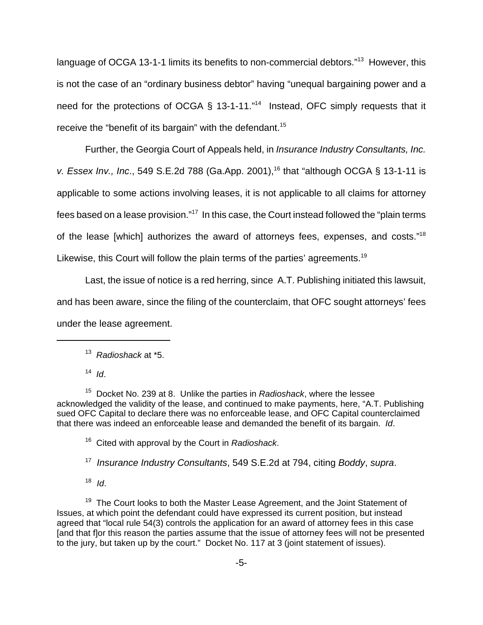language of OCGA 13-1-1 limits its benefits to non-commercial debtors."<sup>13</sup> However, this is not the case of an "ordinary business debtor" having "unequal bargaining power and a need for the protections of OCGA § 13-1-11."<sup>14</sup> Instead, OFC simply requests that it receive the "benefit of its bargain" with the defendant.<sup>15</sup>

Further, the Georgia Court of Appeals held, in *Insurance Industry Consultants, Inc. v. Essex Inv., Inc.*, 549 S.E.2d 788 (Ga.App. 2001),<sup>16</sup> that "although OCGA § 13-1-11 is applicable to some actions involving leases, it is not applicable to all claims for attorney fees based on a lease provision."17 In this case, the Court instead followed the "plain terms of the lease [which] authorizes the award of attorneys fees, expenses, and costs."<sup>18</sup> Likewise, this Court will follow the plain terms of the parties' agreements.<sup>19</sup>

Last, the issue of notice is a red herring, since A.T. Publishing initiated this lawsuit, and has been aware, since the filing of the counterclaim, that OFC sought attorneys' fees under the lease agreement.

<sup>14</sup> *Id*.

15 Docket No. 239 at 8. Unlike the parties in *Radioshack*, where the lessee acknowledged the validity of the lease, and continued to make payments, here, "A.T. Publishing sued OFC Capital to declare there was no enforceable lease, and OFC Capital counterclaimed that there was indeed an enforceable lease and demanded the benefit of its bargain. *Id*.

16 Cited with approval by the Court in *Radioshack*.

17 *Insurance Industry Consultants*, 549 S.E.2d at 794, citing *Boddy*, *supra*.

 $18$  *Id.* 

 $19$  The Court looks to both the Master Lease Agreement, and the Joint Statement of Issues, at which point the defendant could have expressed its current position, but instead agreed that "local rule 54(3) controls the application for an award of attorney fees in this case [and that f]or this reason the parties assume that the issue of attorney fees will not be presented to the jury, but taken up by the court." Docket No. 117 at 3 (joint statement of issues).

<sup>13</sup> *Radioshack* at \*5.